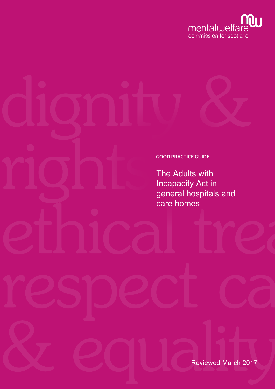

# GOOD PRACTICE GUIDE The Adults with Incapacity Act in general hospitals and care homes

Reviewed March 2017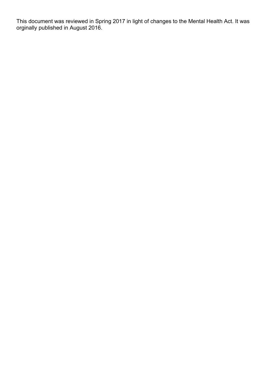This document was reviewed in Spring 2017 in light of changes to the Mental Health Act. It was orginally published in August 2016.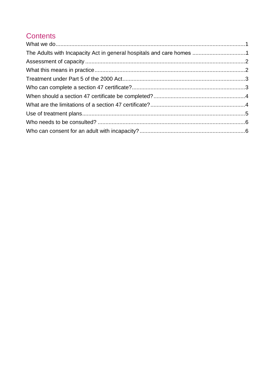# **Contents**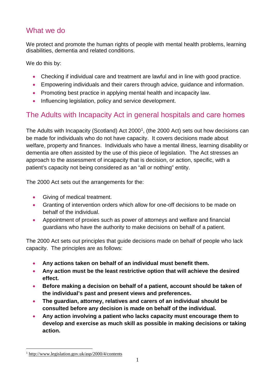## <span id="page-3-0"></span>What we do

We protect and promote the human rights of people with mental health problems, learning disabilities, dementia and related conditions.

We do this by:

- Checking if individual care and treatment are lawful and in line with good practice.
- Empowering individuals and their carers through advice, guidance and information.
- Promoting best practice in applying mental health and incapacity law.
- Influencing legislation, policy and service development.

# <span id="page-3-1"></span>The Adults with Incapacity Act in general hospitals and care homes

The Adults with Incapacity (Scotland) Act 2000<sup>1</sup>, (the 2000 Act) sets out how decisions can be made for individuals who do not have capacity. It covers decisions made about welfare, property and finances. Individuals who have a mental illness, learning disability or dementia are often assisted by the use of this piece of legislation. The Act stresses an approach to the assessment of incapacity that is decision, or action, specific, with a patient's capacity not being considered as an "all or nothing" entity.

The 2000 Act sets out the arrangements for the:

- Giving of medical treatment.
- Granting of intervention orders which allow for one-off decisions to be made on behalf of the individual.
- Appointment of proxies such as power of attorneys and welfare and financial guardians who have the authority to make decisions on behalf of a patient.

The 2000 Act sets out principles that guide decisions made on behalf of people who lack capacity. The principles are as follows:

- **Any actions taken on behalf of an individual must benefit them.**
- **Any action must be the least restrictive option that will achieve the desired effect.**
- **Before making a decision on behalf of a patient, account should be taken of the individual's past and present views and preferences.**
- **The guardian, attorney, relatives and carers of an individual should be consulted before any decision is made on behalf of the individual.**
- **Any action involving a patient who lacks capacity must encourage them to develop and exercise as much skill as possible in making decisions or taking action.**

<span id="page-3-2"></span><sup>1</sup> <http://www.legislation.gov.uk/asp/2000/4/contents>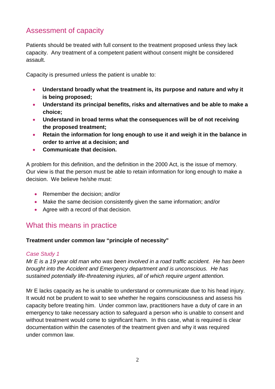# <span id="page-4-0"></span>Assessment of capacity

Patients should be treated with full consent to the treatment proposed unless they lack capacity. Any treatment of a competent patient without consent might be considered assault.

Capacity is presumed unless the patient is unable to:

- **Understand broadly what the treatment is, its purpose and nature and why it is being proposed;**
- **Understand its principal benefits, risks and alternatives and be able to make a choice;**
- **Understand in broad terms what the consequences will be of not receiving the proposed treatment;**
- **Retain the information for long enough to use it and weigh it in the balance in order to arrive at a decision; and**
- **Communicate that decision.**

A problem for this definition, and the definition in the 2000 Act, is the issue of memory. Our view is that the person must be able to retain information for long enough to make a decision. We believe he/she must:

- Remember the decision; and/or
- Make the same decision consistently given the same information; and/or
- Agree with a record of that decision.

## <span id="page-4-1"></span>What this means in practice

#### **Treatment under common law "principle of necessity"**

#### *Case Study 1*

*Mr E is a 19 year old man who was been involved in a road traffic accident. He has been brought into the Accident and Emergency department and is unconscious. He has sustained potentially life-threatening injuries, all of which require urgent attention.*

Mr E lacks capacity as he is unable to understand or communicate due to his head injury. It would not be prudent to wait to see whether he regains consciousness and assess his capacity before treating him. Under common law, practitioners have a duty of care in an emergency to take necessary action to safeguard a person who is unable to consent and without treatment would come to significant harm. In this case, what is required is clear documentation within the casenotes of the treatment given and why it was required under common law.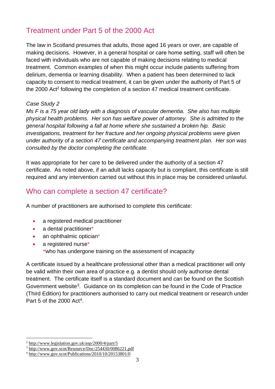# <span id="page-5-0"></span>Treatment under Part 5 of the 2000 Act

The law in Scotland presumes that adults, those aged 16 years or over, are capable of making decisions. However, in a general hospital or care home setting, staff will often be faced with individuals who are not capable of making decisions relating to medical treatment. Common examples of when this might occur include patients suffering from delirium, dementia or learning disability. When a patient has been determined to lack capacity to consent to medical treatment, it can be given under the authority of Part 5 of the 2000 Act<sup>2</sup> following the completion of a section 47 medical treatment certificate.

#### *Case Study 2*

*Ms F is a 75 year old lady with a diagnosis of vascular dementia. She also has multiple physical health problems. Her son has welfare power of attorney. She is admitted to the general hospital following a fall at home where she sustained a broken hip. Basic investigations, treatment for her fracture and her ongoing physical problems were given under authority of a section 47 certificate and accompanying treatment plan. Her son was consulted by the doctor completing the certificate.*

It was appropriate for her care to be delivered under the authority of a section 47 certificate. As noted above, if an adult lacks capacity but is compliant, this certificate is still required and any intervention carried out without this in place may be considered unlawful.

## <span id="page-5-1"></span>Who can complete a section 47 certificate?

A number of practitioners are authorised to complete this certificate:

- a registered medical practitioner
- a dental practitioner\*
- an ophthalmic optician\*
- a registered nurse\* \*who has undergone training on the assessment of incapacity

A certificate issued by a healthcare professional other than a medical practitioner will only be valid within their own area of practice e.g. a dentist should only authorise dental treatment. The certificate itself is a standard document and can be found on the Scottish Government website[3.](#page-5-2) Guidance on its completion can be found in the Code of Practice (Third Edition) for practitioners authorised to carry out medical treatment or research under Part 5 of the 2000 Act<sup>4</sup>.

<sup>2</sup> <http://www.legislation.gov.uk/asp/2000/4/part/5>

<span id="page-5-2"></span><sup>3</sup> <http://www.gov.scot/Resource/Doc/254430/0086221.pdf>

<span id="page-5-3"></span><sup>4</sup> <http://www.gov.scot/Publications/2010/10/20153801/0>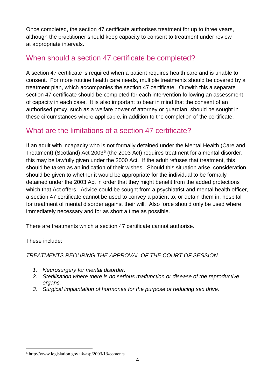Once completed, the section 47 certificate authorises treatment for up to three years, although the practitioner should keep capacity to consent to treatment under review at appropriate intervals.

# <span id="page-6-0"></span>When should a section 47 certificate be completed?

A section 47 certificate is required when a patient requires health care and is unable to consent. For more routine health care needs, multiple treatments should be covered by a treatment plan, which accompanies the section 47 certificate. Outwith this a separate section 47 certificate should be completed for each intervention following an assessment of capacity in each case. It is also important to bear in mind that the consent of an authorised proxy, such as a welfare power of attorney or guardian, should be sought in these circumstances where applicable, in addition to the completion of the certificate.

### <span id="page-6-1"></span>What are the limitations of a section 47 certificate?

If an adult with incapacity who is not formally detained under the Mental Health (Care and Treatment) (Scotland) Act 2003<sup>[5](#page-6-2)</sup> (the 2003 Act) requires treatment for a mental disorder, this may be lawfully given under the 2000 Act. If the adult refuses that treatment, this should be taken as an indication of their wishes. Should this situation arise, consideration should be given to whether it would be appropriate for the individual to be formally detained under the 2003 Act in order that they might benefit from the added protections which that Act offers. Advice could be sought from a psychiatrist and mental health officer, a section 47 certificate cannot be used to convey a patient to, or detain them in, hospital for treatment of mental disorder against their will. Also force should only be used where immediately necessary and for as short a time as possible.

There are treatments which a section 47 certificate cannot authorise.

These include:

*TREATMENTS REQURING THE APPROVAL OF THE COURT OF SESSION*

- *1. Neurosurgery for mental disorder.*
- *2. Sterilisation where there is no serious malfunction or disease of the reproductive organs.*
- *3. Surgical implantation of hormones for the purpose of reducing sex drive.*

<span id="page-6-2"></span><sup>5</sup> <http://www.legislation.gov.uk/asp/2003/13/contents>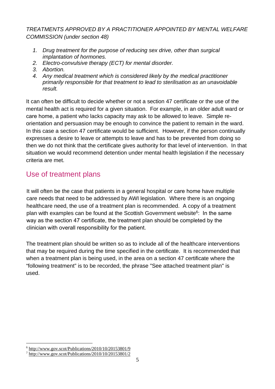#### *TREATMENTS APPROVED BY A PRACTITIONER APPOINTED BY MENTAL WELFARE COMMISSION (under section 48)*

- *1. Drug treatment for the purpose of reducing sex drive, other than surgical implantation of hormones.*
- *2. Electro-convulsive therapy (ECT) for mental disorder.*
- *3. Abortion.*
- *4. Any medical treatment which is considered likely by the medical practitioner primarily responsible for that treatment to lead to sterilisation as an unavoidable result.*

It can often be difficult to decide whether or not a section 47 certificate or the use of the mental health act is required for a given situation. For example, in an older adult ward or care home, a patient who lacks capacity may ask to be allowed to leave. Simple reorientation and persuasion may be enough to convince the patient to remain in the ward. In this case a section 47 certificate would be sufficient. However, if the person continually expresses a desire to leave or attempts to leave and has to be prevented from doing so then we do not think that the certificate gives authority for that level of intervention. In that situation we would recommend detention under mental health legislation if the necessary criteria are met.

## <span id="page-7-0"></span>Use of treatment plans

It will often be the case that patients in a general hospital or care home have multiple care needs that need to be addressed by AWI legislation. Where there is an ongoing healthcare need, the use of a treatment plan [is](#page-7-1) recommended. A copy of a treatment plan with examples can be found at the Scottish Government website<sup>6</sup>: In the same way as the section 47 certificate, the treat[me](#page-7-2)nt plan should be completed by the clinician with overall responsibility for the patient.

The treatment plan should be written so as to include all of the healthcare interventions that may be required during the time specified in the certificate. It is recommended that when a treatment plan is being used, in the area on a section 47 certificate where the "following treatment" is to be recorded, the phrase "See attached treatment plan" is used.

<span id="page-7-1"></span> $6$  <http://www.gov.scot/Publications/2010/10/20153801/9>

<span id="page-7-2"></span><sup>7</sup> <http://www.gov.scot/Publications/2010/10/20153801/2>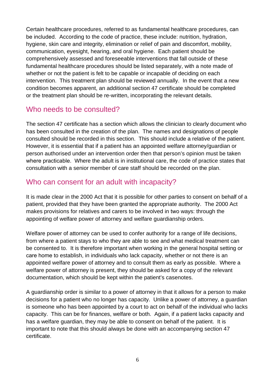Certain healthcare procedures, referred to as fundamental healthcare procedures, can be included. According to the code of practice, these include: nutrition, hydration, hygiene, skin care and integrity, elimination or relief of pain and discomfort, mobility, communication, eyesight, hearing, and oral hygiene. Each patient should be comprehensively assessed and foreseeable interventions that fall outside of these fundamental healthcare procedures should be listed separately, with a note made of whether or not the patient is felt to be capable or incapable of deciding on each intervention. This treatment plan should be reviewed annually. In the event that a new condition becomes apparent, an additional section 47 certificate should be completed or the treatment plan should be re-written, incorporating the relevant details.

## <span id="page-8-0"></span>Who needs to be consulted?

The section 47 certificate has a section which allows the clinician to clearly document who has been consulted in the creation of the plan. The names and designations of people consulted should be recorded in this section. This should include a relative of the patient. However, it is essential that if a patient has an appointed welfare attorney/guardian or person authorised under an intervention order then that person's opinion must be taken where practicable. Where the adult is in institutional care, the code of practice states that consultation with a senior member of care staff should be recorded on the plan.

## <span id="page-8-1"></span>Who can consent for an adult with incapacity?

It is made clear in the 2000 Act that it is possible for other parties to consent on behalf of a patient, provided that they have been granted the appropriate authority. The 2000 Act makes provisions for relatives and carers to be involved in two ways: through the appointing of welfare power of attorney and welfare guardianship orders.

Welfare power of attorney can be used to confer authority for a range of life decisions, from where a patient stays to who they are able to see and what medical treatment can be consented to. It is therefore important when working in the general hospital setting or care home to establish, in individuals who lack capacity, whether or not there is an appointed welfare power of attorney and to consult them as early as possible. Where a welfare power of attorney is present, they should be asked for a copy of the relevant documentation, which should be kept within the patient's casenotes.

A guardianship order is similar to a power of attorney in that it allows for a person to make decisions for a patient who no longer has capacity. Unlike a power of attorney, a guardian is someone who has been appointed by a court to act on behalf of the individual who lacks capacity. This can be for finances, welfare or both. Again, if a patient lacks capacity and has a welfare guardian, they may be able to consent on behalf of the patient. It is important to note that this should always be done with an accompanying section 47 certificate.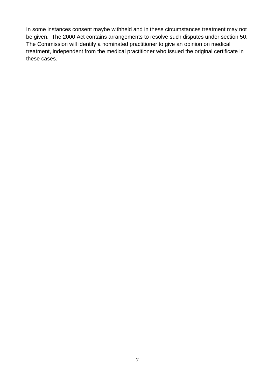In some instances consent maybe withheld and in these circumstances treatment may not be given. The 2000 Act contains arrangements to resolve such disputes under section 50. The Commission will identify a nominated practitioner to give an opinion on medical treatment, independent from the medical practitioner who issued the original certificate in these cases.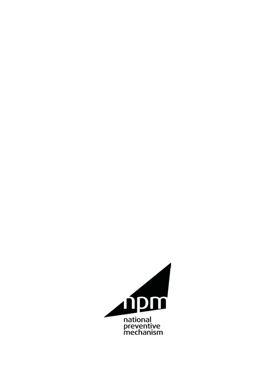